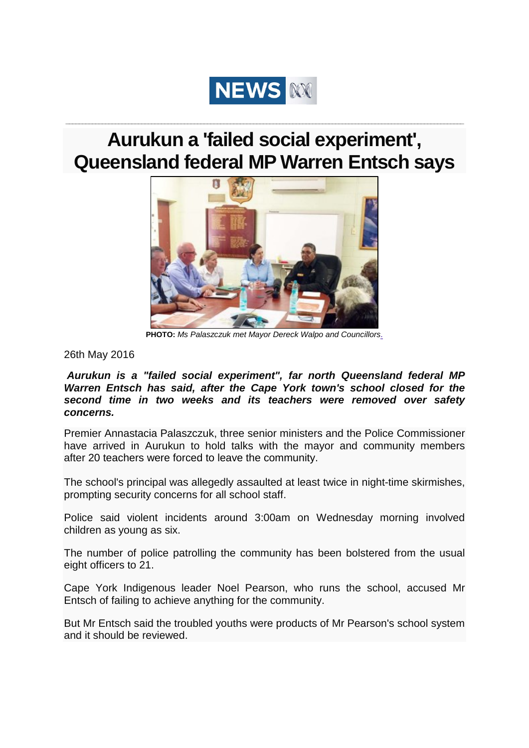

## **Aurukun a 'failed social experiment', Queensland federal MP Warren Entsch says**

**\_\_\_\_\_\_\_\_\_\_\_\_\_\_\_\_\_\_\_\_\_\_\_\_\_\_\_\_\_\_\_\_\_\_\_\_\_\_\_\_\_\_\_\_\_\_\_\_\_\_\_\_\_\_\_\_\_\_\_\_\_\_\_\_\_\_\_\_\_\_\_\_\_\_\_\_\_\_\_\_\_\_\_\_\_\_\_\_\_\_\_\_\_\_\_\_\_\_\_\_\_\_\_\_\_\_\_\_\_\_\_\_\_\_\_\_\_\_\_\_\_**



**PHOTO:** *Ms Palaszczuk met Mayor Dereck Walpo and Councillors*.

26th May 2016

*Aurukun is a "failed social experiment", far north Queensland federal MP Warren Entsch has said, after the Cape York town's school closed for the second time in two weeks and its teachers were removed over safety concerns.*

Premier Annastacia Palaszczuk, three senior ministers and the Police Commissioner have arrived in Aurukun to hold talks with the mayor and community members after 20 teachers were forced to leave the community.

The school's principal was allegedly assaulted at least twice in night-time skirmishes, prompting security concerns for all school staff.

Police said violent incidents around 3:00am on Wednesday morning involved children as young as six.

The number of police patrolling the community has been bolstered from the usual eight officers to 21.

Cape York Indigenous leader Noel Pearson, who runs the school, accused Mr Entsch of failing to achieve anything for the community.

But Mr Entsch said the troubled youths were products of Mr Pearson's school system and it should be reviewed.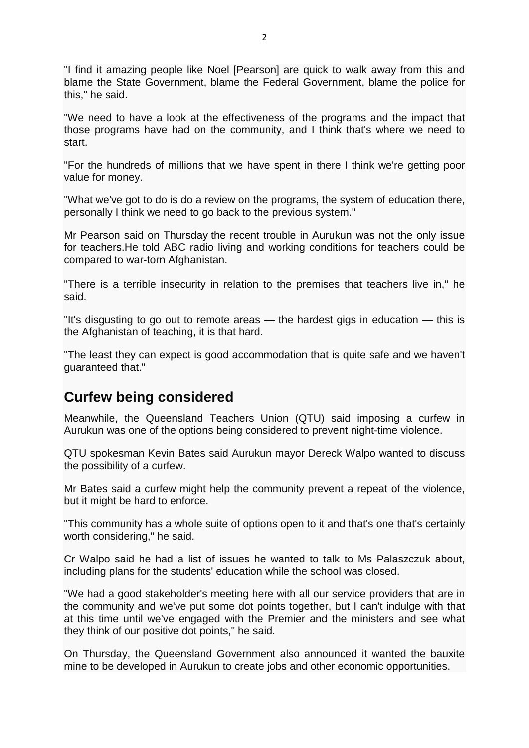"I find it amazing people like Noel [Pearson] are quick to walk away from this and blame the State Government, blame the Federal Government, blame the police for this," he said.

"We need to have a look at the effectiveness of the programs and the impact that those programs have had on the community, and I think that's where we need to start.

"For the hundreds of millions that we have spent in there I think we're getting poor value for money.

"What we've got to do is do a review on the programs, the system of education there, personally I think we need to go back to the previous system."

Mr Pearson said on Thursday the recent trouble in Aurukun was not the only issue for teachers.He told ABC radio living and working conditions for teachers could be compared to war-torn Afghanistan.

"There is a terrible insecurity in relation to the premises that teachers live in," he said.

"It's disgusting to go out to remote areas — the hardest gigs in education — this is the Afghanistan of teaching, it is that hard.

"The least they can expect is good accommodation that is quite safe and we haven't guaranteed that."

## **Curfew being considered**

Meanwhile, the Queensland Teachers Union (QTU) said imposing a curfew in Aurukun was one of the options being considered to prevent night-time violence.

QTU spokesman Kevin Bates said Aurukun mayor Dereck Walpo wanted to discuss the possibility of a curfew.

Mr Bates said a curfew might help the community prevent a repeat of the violence, but it might be hard to enforce.

"This community has a whole suite of options open to it and that's one that's certainly worth considering," he said.

Cr Walpo said he had a list of issues he wanted to talk to Ms Palaszczuk about, including plans for the students' education while the school was closed.

"We had a good stakeholder's meeting here with all our service providers that are in the community and we've put some dot points together, but I can't indulge with that at this time until we've engaged with the Premier and the ministers and see what they think of our positive dot points," he said.

On Thursday, the Queensland Government also announced it wanted the bauxite mine to be developed in Aurukun to create jobs and other economic opportunities.